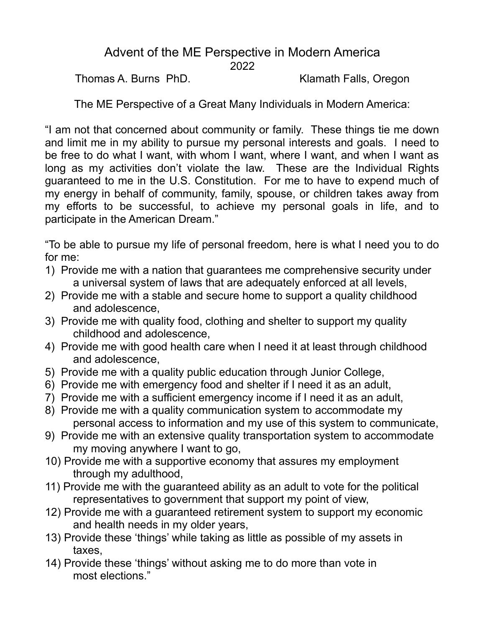#### Advent of the ME Perspective in Modern America 2022

Thomas A. Burns PhD. Klamath Falls, Oregon

The ME Perspective of a Great Many Individuals in Modern America:

"I am not that concerned about community or family. These things tie me down and limit me in my ability to pursue my personal interests and goals. I need to be free to do what I want, with whom I want, where I want, and when I want as long as my activities don't violate the law. These are the Individual Rights guaranteed to me in the U.S. Constitution. For me to have to expend much of my energy in behalf of community, family, spouse, or children takes away from my efforts to be successful, to achieve my personal goals in life, and to participate in the American Dream."

"To be able to pursue my life of personal freedom, here is what I need you to do for me:

- 1) Provide me with a nation that guarantees me comprehensive security under a universal system of laws that are adequately enforced at all levels,
- 2) Provide me with a stable and secure home to support a quality childhood and adolescence,
- 3) Provide me with quality food, clothing and shelter to support my quality childhood and adolescence,
- 4) Provide me with good health care when I need it at least through childhood and adolescence,
- 5) Provide me with a quality public education through Junior College,
- 6) Provide me with emergency food and shelter if I need it as an adult,
- 7) Provide me with a sufficient emergency income if I need it as an adult,
- 8) Provide me with a quality communication system to accommodate my personal access to information and my use of this system to communicate,
- 9) Provide me with an extensive quality transportation system to accommodate my moving anywhere I want to go,
- 10) Provide me with a supportive economy that assures my employment through my adulthood,
- 11) Provide me with the guaranteed ability as an adult to vote for the political representatives to government that support my point of view,
- 12) Provide me with a guaranteed retirement system to support my economic and health needs in my older years,
- 13) Provide these 'things' while taking as little as possible of my assets in taxes,
- 14) Provide these 'things' without asking me to do more than vote in most elections."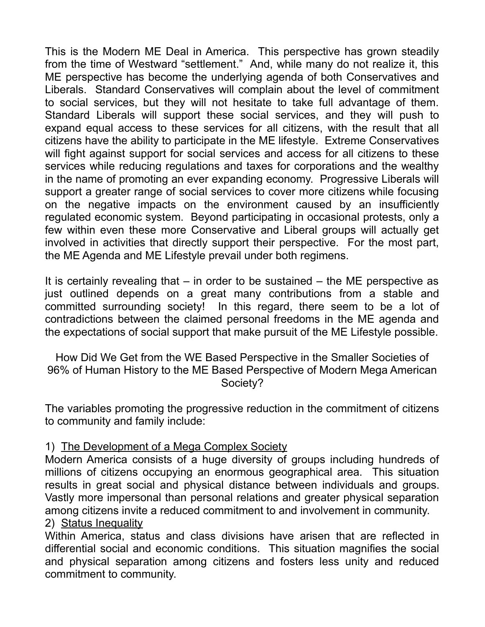This is the Modern ME Deal in America. This perspective has grown steadily from the time of Westward "settlement." And, while many do not realize it, this ME perspective has become the underlying agenda of both Conservatives and Liberals. Standard Conservatives will complain about the level of commitment to social services, but they will not hesitate to take full advantage of them. Standard Liberals will support these social services, and they will push to expand equal access to these services for all citizens, with the result that all citizens have the ability to participate in the ME lifestyle. Extreme Conservatives will fight against support for social services and access for all citizens to these services while reducing regulations and taxes for corporations and the wealthy in the name of promoting an ever expanding economy. Progressive Liberals will support a greater range of social services to cover more citizens while focusing on the negative impacts on the environment caused by an insufficiently regulated economic system. Beyond participating in occasional protests, only a few within even these more Conservative and Liberal groups will actually get involved in activities that directly support their perspective. For the most part, the ME Agenda and ME Lifestyle prevail under both regimens.

It is certainly revealing that – in order to be sustained – the ME perspective as just outlined depends on a great many contributions from a stable and committed surrounding society! In this regard, there seem to be a lot of contradictions between the claimed personal freedoms in the ME agenda and the expectations of social support that make pursuit of the ME Lifestyle possible.

How Did We Get from the WE Based Perspective in the Smaller Societies of 96% of Human History to the ME Based Perspective of Modern Mega American Society?

The variables promoting the progressive reduction in the commitment of citizens to community and family include:

# 1) The Development of a Mega Complex Society

Modern America consists of a huge diversity of groups including hundreds of millions of citizens occupying an enormous geographical area. This situation results in great social and physical distance between individuals and groups. Vastly more impersonal than personal relations and greater physical separation among citizens invite a reduced commitment to and involvement in community. 2) Status Inequality

Within America, status and class divisions have arisen that are reflected in differential social and economic conditions. This situation magnifies the social and physical separation among citizens and fosters less unity and reduced commitment to community.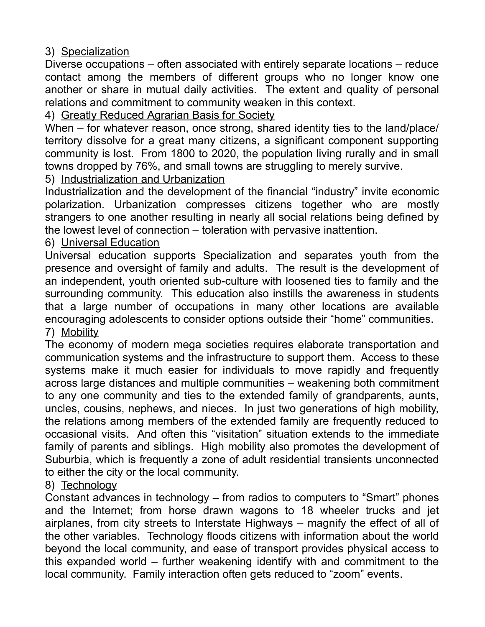3) Specialization

Diverse occupations – often associated with entirely separate locations – reduce contact among the members of different groups who no longer know one another or share in mutual daily activities. The extent and quality of personal relations and commitment to community weaken in this context.

4) Greatly Reduced Agrarian Basis for Society

When – for whatever reason, once strong, shared identity ties to the land/place/ territory dissolve for a great many citizens, a significant component supporting community is lost. From 1800 to 2020, the population living rurally and in small towns dropped by 76%, and small towns are struggling to merely survive.

5) Industrialization and Urbanization

Industrialization and the development of the financial "industry" invite economic polarization. Urbanization compresses citizens together who are mostly strangers to one another resulting in nearly all social relations being defined by the lowest level of connection – toleration with pervasive inattention.

6) Universal Education

Universal education supports Specialization and separates youth from the presence and oversight of family and adults. The result is the development of an independent, youth oriented sub-culture with loosened ties to family and the surrounding community. This education also instills the awareness in students that a large number of occupations in many other locations are available encouraging adolescents to consider options outside their "home" communities. 7) Mobility

The economy of modern mega societies requires elaborate transportation and communication systems and the infrastructure to support them. Access to these systems make it much easier for individuals to move rapidly and frequently across large distances and multiple communities – weakening both commitment to any one community and ties to the extended family of grandparents, aunts, uncles, cousins, nephews, and nieces. In just two generations of high mobility, the relations among members of the extended family are frequently reduced to occasional visits. And often this "visitation" situation extends to the immediate family of parents and siblings. High mobility also promotes the development of Suburbia, which is frequently a zone of adult residential transients unconnected to either the city or the local community.

# 8) Technology

Constant advances in technology – from radios to computers to "Smart" phones and the Internet; from horse drawn wagons to 18 wheeler trucks and jet airplanes, from city streets to Interstate Highways – magnify the effect of all of the other variables. Technology floods citizens with information about the world beyond the local community, and ease of transport provides physical access to this expanded world – further weakening identify with and commitment to the local community. Family interaction often gets reduced to "zoom" events.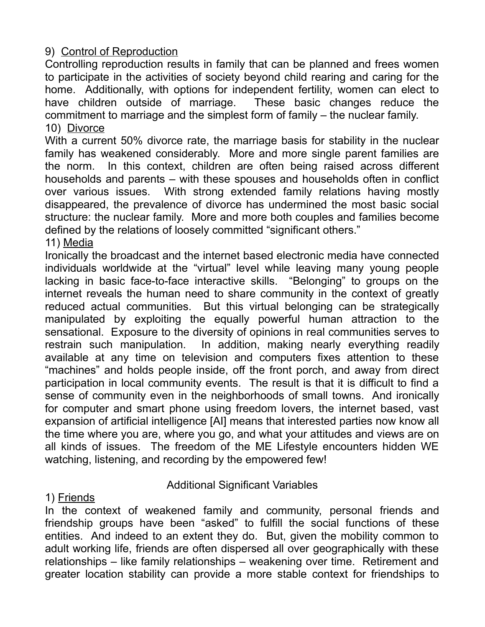9) Control of Reproduction

Controlling reproduction results in family that can be planned and frees women to participate in the activities of society beyond child rearing and caring for the home. Additionally, with options for independent fertility, women can elect to have children outside of marriage. These basic changes reduce the commitment to marriage and the simplest form of family – the nuclear family. 10) Divorce

With a current 50% divorce rate, the marriage basis for stability in the nuclear family has weakened considerably. More and more single parent families are the norm. In this context, children are often being raised across different households and parents – with these spouses and households often in conflict over various issues. With strong extended family relations having mostly disappeared, the prevalence of divorce has undermined the most basic social structure: the nuclear family. More and more both couples and families become defined by the relations of loosely committed "significant others."

11) Media

Ironically the broadcast and the internet based electronic media have connected individuals worldwide at the "virtual" level while leaving many young people lacking in basic face-to-face interactive skills. "Belonging" to groups on the internet reveals the human need to share community in the context of greatly reduced actual communities. But this virtual belonging can be strategically manipulated by exploiting the equally powerful human attraction to the sensational. Exposure to the diversity of opinions in real communities serves to restrain such manipulation. In addition, making nearly everything readily available at any time on television and computers fixes attention to these "machines" and holds people inside, off the front porch, and away from direct participation in local community events. The result is that it is difficult to find a sense of community even in the neighborhoods of small towns. And ironically for computer and smart phone using freedom lovers, the internet based, vast expansion of artificial intelligence [AI] means that interested parties now know all the time where you are, where you go, and what your attitudes and views are on all kinds of issues. The freedom of the ME Lifestyle encounters hidden WE watching, listening, and recording by the empowered few!

# Additional Significant Variables

1) Friends

In the context of weakened family and community, personal friends and friendship groups have been "asked" to fulfill the social functions of these entities. And indeed to an extent they do. But, given the mobility common to adult working life, friends are often dispersed all over geographically with these relationships – like family relationships – weakening over time. Retirement and greater location stability can provide a more stable context for friendships to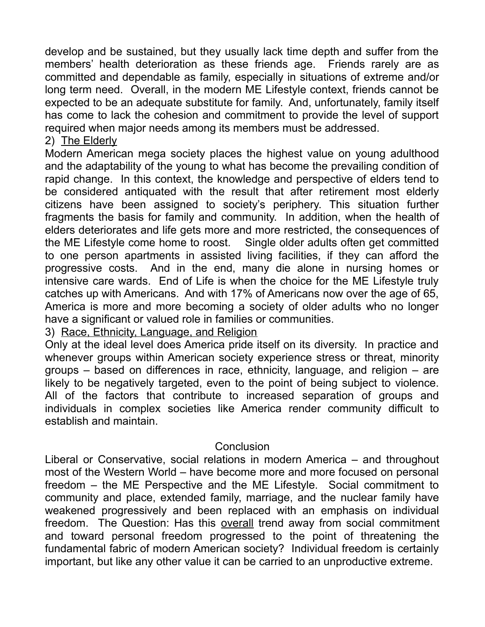develop and be sustained, but they usually lack time depth and suffer from the members' health deterioration as these friends age. Friends rarely are as committed and dependable as family, especially in situations of extreme and/or long term need. Overall, in the modern ME Lifestyle context, friends cannot be expected to be an adequate substitute for family. And, unfortunately, family itself has come to lack the cohesion and commitment to provide the level of support required when major needs among its members must be addressed.

#### 2) The Elderly

Modern American mega society places the highest value on young adulthood and the adaptability of the young to what has become the prevailing condition of rapid change. In this context, the knowledge and perspective of elders tend to be considered antiquated with the result that after retirement most elderly citizens have been assigned to society's periphery. This situation further fragments the basis for family and community. In addition, when the health of elders deteriorates and life gets more and more restricted, the consequences of the ME Lifestyle come home to roost. Single older adults often get committed to one person apartments in assisted living facilities, if they can afford the progressive costs. And in the end, many die alone in nursing homes or intensive care wards. End of Life is when the choice for the ME Lifestyle truly catches up with Americans. And with 17% of Americans now over the age of 65, America is more and more becoming a society of older adults who no longer have a significant or valued role in families or communities.

3) Race, Ethnicity, Language, and Religion

Only at the ideal level does America pride itself on its diversity. In practice and whenever groups within American society experience stress or threat, minority groups – based on differences in race, ethnicity, language, and religion – are likely to be negatively targeted, even to the point of being subject to violence. All of the factors that contribute to increased separation of groups and individuals in complex societies like America render community difficult to establish and maintain.

#### **Conclusion**

Liberal or Conservative, social relations in modern America – and throughout most of the Western World – have become more and more focused on personal freedom – the ME Perspective and the ME Lifestyle. Social commitment to community and place, extended family, marriage, and the nuclear family have weakened progressively and been replaced with an emphasis on individual freedom. The Question: Has this overall trend away from social commitment and toward personal freedom progressed to the point of threatening the fundamental fabric of modern American society? Individual freedom is certainly important, but like any other value it can be carried to an unproductive extreme.